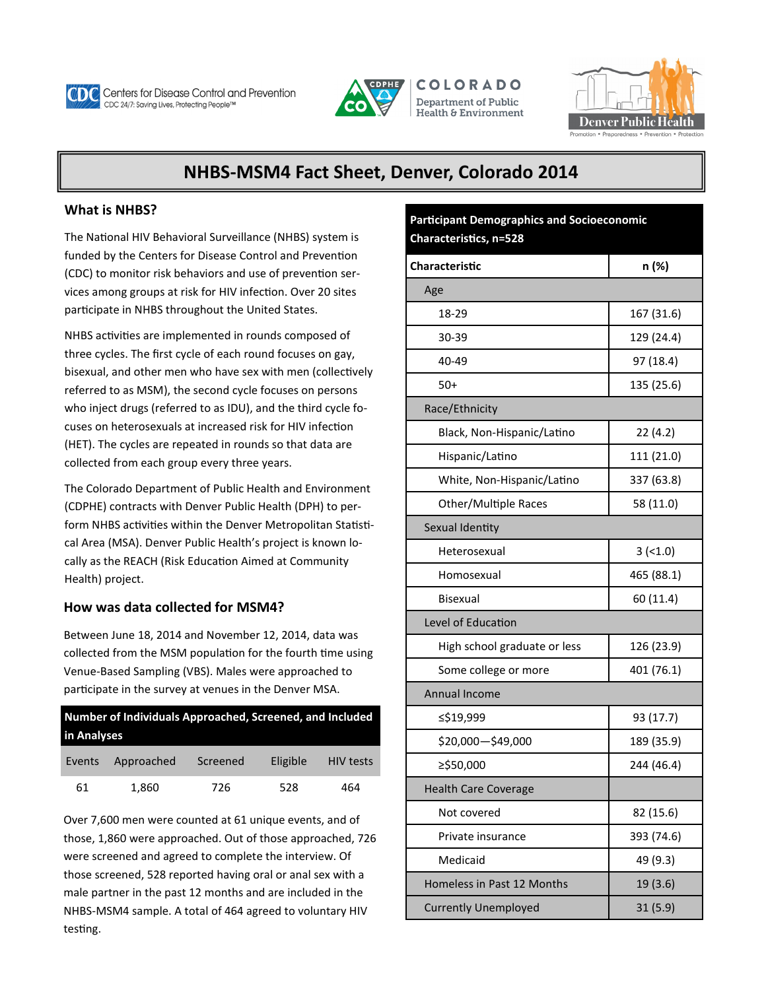

**Centers for Disease Control and Prevention** CDC 24/7: Saving Lives, Protecting People™







# **NHBS-MSM4 Fact Sheet, Denver, Colorado 2014**

## **What is NHBS?**

The National HIV Behavioral Surveillance (NHBS) system is funded by the Centers for Disease Control and Prevention (CDC) to monitor risk behaviors and use of prevention services among groups at risk for HIV infection. Over 20 sites participate in NHBS throughout the United States.

NHBS activities are implemented in rounds composed of three cycles. The first cycle of each round focuses on gay, bisexual, and other men who have sex with men (collectively referred to as MSM), the second cycle focuses on persons who inject drugs (referred to as IDU), and the third cycle focuses on heterosexuals at increased risk for HIV infection (HET). The cycles are repeated in rounds so that data are collected from each group every three years.

The Colorado Department of Public Health and Environment (CDPHE) contracts with Denver Public Health (DPH) to perform NHBS activities within the Denver Metropolitan Statistical Area (MSA). Denver Public Health's project is known locally as the REACH (Risk Education Aimed at Community Health) project.

# **How was data collected for MSM4?**

Between June 18, 2014 and November 12, 2014, data was collected from the MSM population for the fourth time using Venue-Based Sampling (VBS). Males were approached to participate in the survey at venues in the Denver MSA.

| Number of Individuals Approached, Screened, and Included<br>in Analyses |            |          |          |                  |  |  |
|-------------------------------------------------------------------------|------------|----------|----------|------------------|--|--|
| Events                                                                  | Approached | Screened | Eligible | <b>HIV tests</b> |  |  |
| 61                                                                      | 1,860      | 726      | 528      | 464              |  |  |

Over 7,600 men were counted at 61 unique events, and of those, 1,860 were approached. Out of those approached, 726 were screened and agreed to complete the interview. Of those screened, 528 reported having oral or anal sex with a male partner in the past 12 months and are included in the NHBS-MSM4 sample. A total of 464 agreed to voluntary HIV testing.

**Participant Demographics and Socioeconomic Characteristics, n=528**

| <b>Characteristic</b>        | n (%)      |  |  |  |
|------------------------------|------------|--|--|--|
| Age                          |            |  |  |  |
| 18-29                        | 167 (31.6) |  |  |  |
| 30-39                        | 129 (24.4) |  |  |  |
| 40-49                        | 97 (18.4)  |  |  |  |
| $50+$                        | 135 (25.6) |  |  |  |
| Race/Ethnicity               |            |  |  |  |
| Black, Non-Hispanic/Latino   | 22(4.2)    |  |  |  |
| Hispanic/Latino              | 111 (21.0) |  |  |  |
| White, Non-Hispanic/Latino   | 337 (63.8) |  |  |  |
| Other/Multiple Races         | 58 (11.0)  |  |  |  |
| Sexual Identity              |            |  |  |  |
| Heterosexual                 | $3 (-1.0)$ |  |  |  |
| Homosexual                   | 465 (88.1) |  |  |  |
| Bisexual                     | 60 (11.4)  |  |  |  |
| Level of Education           |            |  |  |  |
| High school graduate or less | 126 (23.9) |  |  |  |
| Some college or more         | 401 (76.1) |  |  |  |
| <b>Annual Income</b>         |            |  |  |  |
| ≤\$19,999                    | 93 (17.7)  |  |  |  |
| \$20,000-\$49,000            | 189 (35.9) |  |  |  |
| ≥\$50,000                    | 244 (46.4) |  |  |  |
| <b>Health Care Coverage</b>  |            |  |  |  |
| Not covered                  | 82 (15.6)  |  |  |  |
| Private insurance            | 393 (74.6) |  |  |  |
| Medicaid                     | 49 (9.3)   |  |  |  |
| Homeless in Past 12 Months   | 19 (3.6)   |  |  |  |
| <b>Currently Unemployed</b>  | 31(5.9)    |  |  |  |